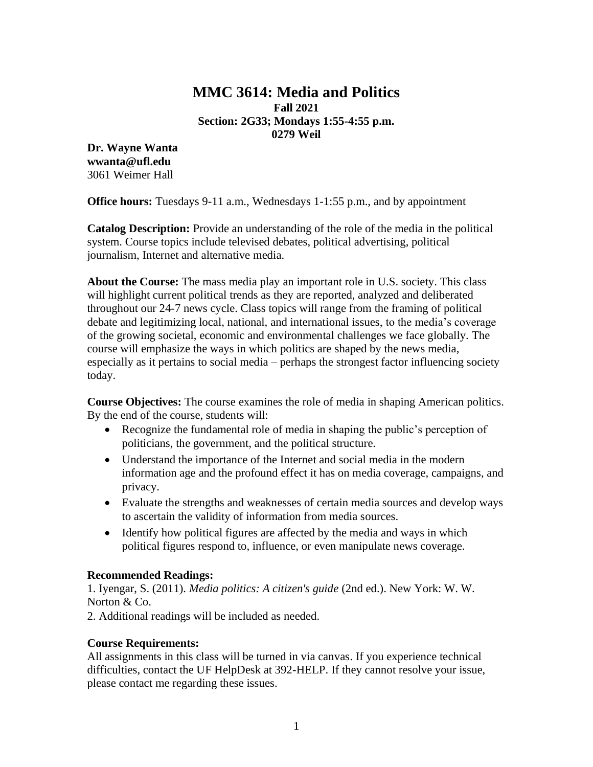# **MMC 3614: Media and Politics Fall 2021 Section: 2G33; Mondays 1:55-4:55 p.m. 0279 Weil**

**Dr. Wayne Wanta wwanta@ufl.edu** 3061 Weimer Hall

**Office hours:** Tuesdays 9-11 a.m., Wednesdays 1-1:55 p.m., and by appointment

**Catalog Description:** Provide an understanding of the role of the media in the political system. Course topics include televised debates, political advertising, political journalism, Internet and alternative media.

**About the Course:** The mass media play an important role in U.S. society. This class will highlight current political trends as they are reported, analyzed and deliberated throughout our 24-7 news cycle. Class topics will range from the framing of political debate and legitimizing local, national, and international issues, to the media's coverage of the growing societal, economic and environmental challenges we face globally. The course will emphasize the ways in which politics are shaped by the news media, especially as it pertains to social media – perhaps the strongest factor influencing society today.

**Course Objectives:** The course examines the role of media in shaping American politics. By the end of the course, students will:

- Recognize the fundamental role of media in shaping the public's perception of politicians, the government, and the political structure.
- Understand the importance of the Internet and social media in the modern information age and the profound effect it has on media coverage, campaigns, and privacy.
- Evaluate the strengths and weaknesses of certain media sources and develop ways to ascertain the validity of information from media sources.
- Identify how political figures are affected by the media and ways in which political figures respond to, influence, or even manipulate news coverage.

# **Recommended Readings:**

1. Iyengar, S. (2011). *Media politics: A citizen's guide* (2nd ed.). New York: W. W. Norton & Co.

2. Additional readings will be included as needed.

# **Course Requirements:**

All assignments in this class will be turned in via canvas. If you experience technical difficulties, contact the UF HelpDesk at 392-HELP. If they cannot resolve your issue, please contact me regarding these issues.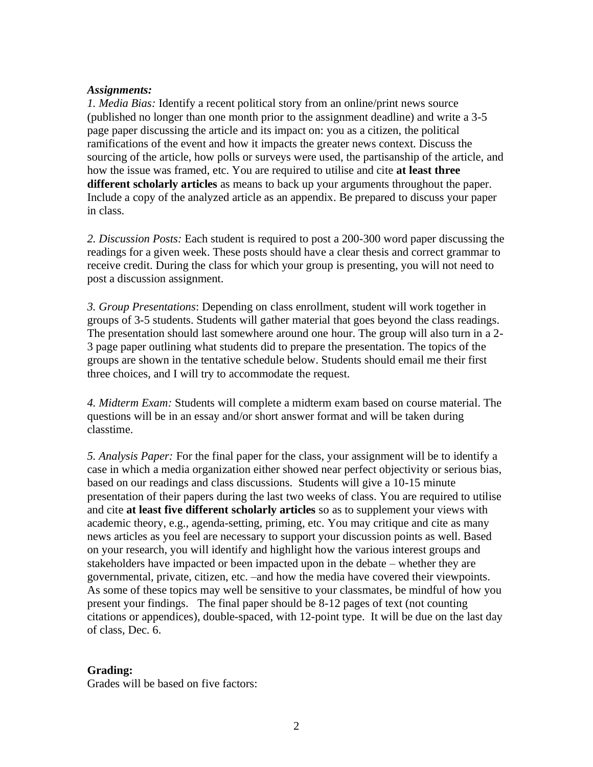### *Assignments:*

*1. Media Bias:* Identify a recent political story from an online/print news source (published no longer than one month prior to the assignment deadline) and write a 3-5 page paper discussing the article and its impact on: you as a citizen, the political ramifications of the event and how it impacts the greater news context. Discuss the sourcing of the article, how polls or surveys were used, the partisanship of the article, and how the issue was framed, etc. You are required to utilise and cite **at least three different scholarly articles** as means to back up your arguments throughout the paper. Include a copy of the analyzed article as an appendix. Be prepared to discuss your paper in class.

*2. Discussion Posts:* Each student is required to post a 200-300 word paper discussing the readings for a given week. These posts should have a clear thesis and correct grammar to receive credit. During the class for which your group is presenting, you will not need to post a discussion assignment.

*3. Group Presentations*: Depending on class enrollment, student will work together in groups of 3-5 students. Students will gather material that goes beyond the class readings. The presentation should last somewhere around one hour. The group will also turn in a 2- 3 page paper outlining what students did to prepare the presentation. The topics of the groups are shown in the tentative schedule below. Students should email me their first three choices, and I will try to accommodate the request.

*4. Midterm Exam:* Students will complete a midterm exam based on course material. The questions will be in an essay and/or short answer format and will be taken during classtime.

*5. Analysis Paper:* For the final paper for the class, your assignment will be to identify a case in which a media organization either showed near perfect objectivity or serious bias, based on our readings and class discussions. Students will give a 10-15 minute presentation of their papers during the last two weeks of class. You are required to utilise and cite **at least five different scholarly articles** so as to supplement your views with academic theory, e.g., agenda-setting, priming, etc. You may critique and cite as many news articles as you feel are necessary to support your discussion points as well. Based on your research, you will identify and highlight how the various interest groups and stakeholders have impacted or been impacted upon in the debate – whether they are governmental, private, citizen, etc. –and how the media have covered their viewpoints. As some of these topics may well be sensitive to your classmates, be mindful of how you present your findings. The final paper should be 8-12 pages of text (not counting citations or appendices), double-spaced, with 12-point type. It will be due on the last day of class, Dec. 6.

### **Grading:**

Grades will be based on five factors: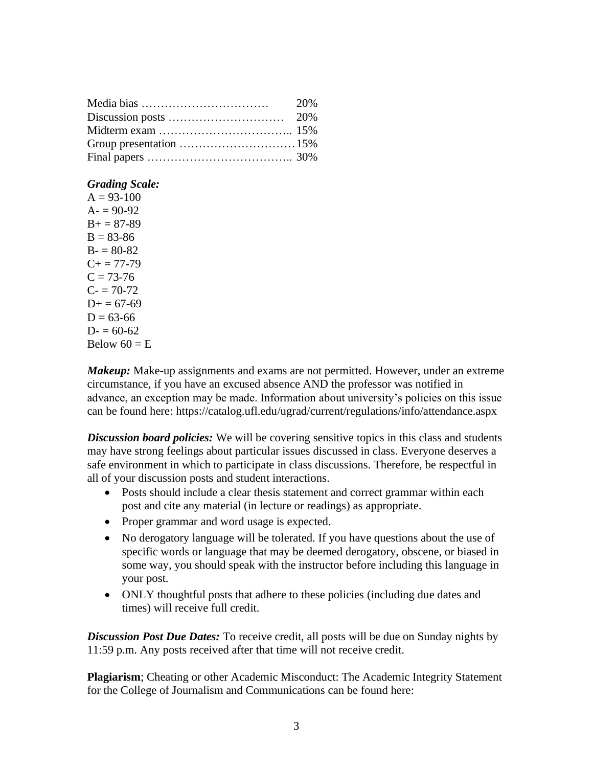| 20% |
|-----|
|     |
|     |
|     |
|     |

### *Grading Scale:*

 $A = 93-100$  $A = 90-92$  $B = 87-89$  $B = 83-86$  $B - 80-82$  $C_{+} = 77 - 79$  $C = 73-76$  $C = 70-72$  $D+= 67-69$  $D = 63-66$  $D = 60-62$ Below  $60 = E$ 

*Makeup:* Make-up assignments and exams are not permitted. However, under an extreme circumstance, if you have an excused absence AND the professor was notified in advance, an exception may be made. Information about university's policies on this issue can be found here: https://catalog.ufl.edu/ugrad/current/regulations/info/attendance.aspx

*Discussion board policies:* We will be covering sensitive topics in this class and students may have strong feelings about particular issues discussed in class. Everyone deserves a safe environment in which to participate in class discussions. Therefore, be respectful in all of your discussion posts and student interactions.

- Posts should include a clear thesis statement and correct grammar within each post and cite any material (in lecture or readings) as appropriate.
- Proper grammar and word usage is expected.
- No derogatory language will be tolerated. If you have questions about the use of specific words or language that may be deemed derogatory, obscene, or biased in some way, you should speak with the instructor before including this language in your post.
- ONLY thoughtful posts that adhere to these policies (including due dates and times) will receive full credit.

*Discussion Post Due Dates:* To receive credit, all posts will be due on Sunday nights by 11:59 p.m. Any posts received after that time will not receive credit.

**Plagiarism**; Cheating or other Academic Misconduct: The Academic Integrity Statement for the College of Journalism and Communications can be found here: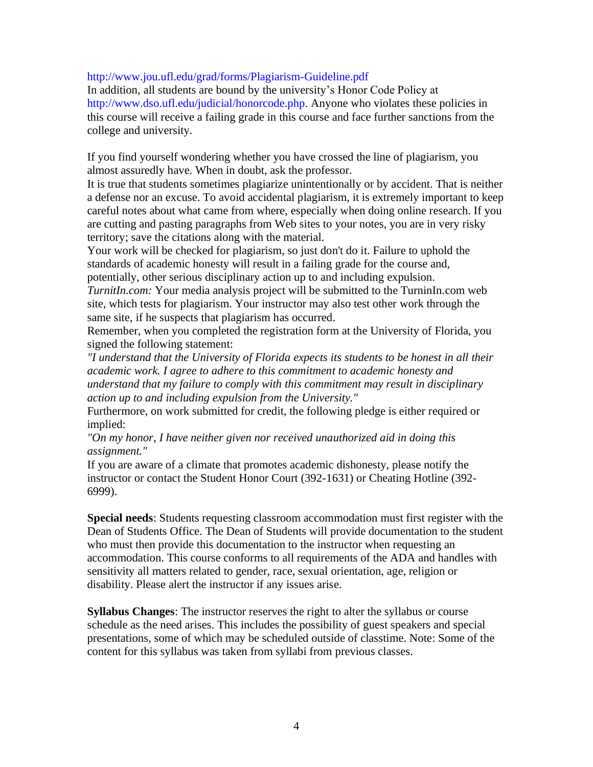http://www.jou.ufl.edu/grad/forms/Plagiarism-Guideline.pdf

In addition, all students are bound by the university's Honor Code Policy at http://www.dso.ufl.edu/judicial/honorcode.php. Anyone who violates these policies in this course will receive a failing grade in this course and face further sanctions from the college and university.

If you find yourself wondering whether you have crossed the line of plagiarism, you almost assuredly have. When in doubt, ask the professor.

It is true that students sometimes plagiarize unintentionally or by accident. That is neither a defense nor an excuse. To avoid accidental plagiarism, it is extremely important to keep careful notes about what came from where, especially when doing online research. If you are cutting and pasting paragraphs from Web sites to your notes, you are in very risky territory; save the citations along with the material.

Your work will be checked for plagiarism, so just don't do it. Failure to uphold the standards of academic honesty will result in a failing grade for the course and, potentially, other serious disciplinary action up to and including expulsion.

*TurnitIn.com:* Your media analysis project will be submitted to the TurninIn.com web site, which tests for plagiarism. Your instructor may also test other work through the same site, if he suspects that plagiarism has occurred.

Remember, when you completed the registration form at the University of Florida, you signed the following statement:

*"I understand that the University of Florida expects its students to be honest in all their academic work. I agree to adhere to this commitment to academic honesty and understand that my failure to comply with this commitment may result in disciplinary action up to and including expulsion from the University."* 

Furthermore, on work submitted for credit, the following pledge is either required or implied:

*"On my honor, I have neither given nor received unauthorized aid in doing this assignment."* 

If you are aware of a climate that promotes academic dishonesty, please notify the instructor or contact the Student Honor Court (392-1631) or Cheating Hotline (392- 6999).

**Special needs**: Students requesting classroom accommodation must first register with the Dean of Students Office. The Dean of Students will provide documentation to the student who must then provide this documentation to the instructor when requesting an accommodation. This course conforms to all requirements of the ADA and handles with sensitivity all matters related to gender, race, sexual orientation, age, religion or disability. Please alert the instructor if any issues arise.

**Syllabus Changes**: The instructor reserves the right to alter the syllabus or course schedule as the need arises. This includes the possibility of guest speakers and special presentations, some of which may be scheduled outside of classtime. Note: Some of the content for this syllabus was taken from syllabi from previous classes.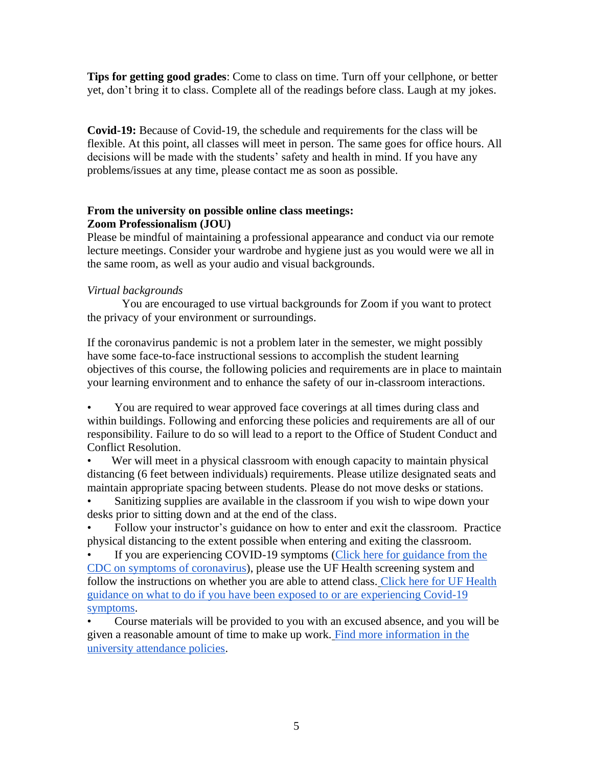**Tips for getting good grades**: Come to class on time. Turn off your cellphone, or better yet, don't bring it to class. Complete all of the readings before class. Laugh at my jokes.

**Covid-19:** Because of Covid-19, the schedule and requirements for the class will be flexible. At this point, all classes will meet in person. The same goes for office hours. All decisions will be made with the students' safety and health in mind. If you have any problems/issues at any time, please contact me as soon as possible.

# **From the university on possible online class meetings: Zoom Professionalism (JOU)**

Please be mindful of maintaining a professional appearance and conduct via our remote lecture meetings. Consider your wardrobe and hygiene just as you would were we all in the same room, as well as your audio and visual backgrounds.

# *Virtual backgrounds*

You are encouraged to use virtual backgrounds for Zoom if you want to protect the privacy of your environment or surroundings.

If the coronavirus pandemic is not a problem later in the semester, we might possibly have some face-to-face instructional sessions to accomplish the student learning objectives of this course, the following policies and requirements are in place to maintain your learning environment and to enhance the safety of our in-classroom interactions.

• You are required to wear approved face coverings at all times during class and within buildings. Following and enforcing these policies and requirements are all of our responsibility. Failure to do so will lead to a report to the Office of Student Conduct and Conflict Resolution.

• Wer will meet in a physical classroom with enough capacity to maintain physical distancing (6 feet between individuals) requirements. Please utilize designated seats and maintain appropriate spacing between students. Please do not move desks or stations.

Sanitizing supplies are available in the classroom if you wish to wipe down your desks prior to sitting down and at the end of the class.

• Follow your instructor's guidance on how to enter and exit the classroom. Practice physical distancing to the extent possible when entering and exiting the classroom.

If you are experiencing COVID-19 symptoms (Click here for guidance from the [CDC on symptoms of coronavirus\)](https://www.cdc.gov/coronavirus/2019-ncov/symptoms-testing/symptoms.html), please use the UF Health screening system and follow the instructions on whether you are able to attend class. [Click here for UF Health](https://coronavirus.ufhealth.org/screen-test-protect/covid-19-exposure-and-symptoms-who-do-i-call-if/)  [guidance on what to do if you have been exposed to or are experiencing Covid-19](https://coronavirus.ufhealth.org/screen-test-protect/covid-19-exposure-and-symptoms-who-do-i-call-if/)  [symptoms.](https://coronavirus.ufhealth.org/screen-test-protect/covid-19-exposure-and-symptoms-who-do-i-call-if/)

• Course materials will be provided to you with an excused absence, and you will be given a reasonable amount of time to make up work. [Find more information in the](https://catalog.ufl.edu/UGRD/academic-regulations/attendance-policies/)  [university attendance policies.](https://catalog.ufl.edu/UGRD/academic-regulations/attendance-policies/)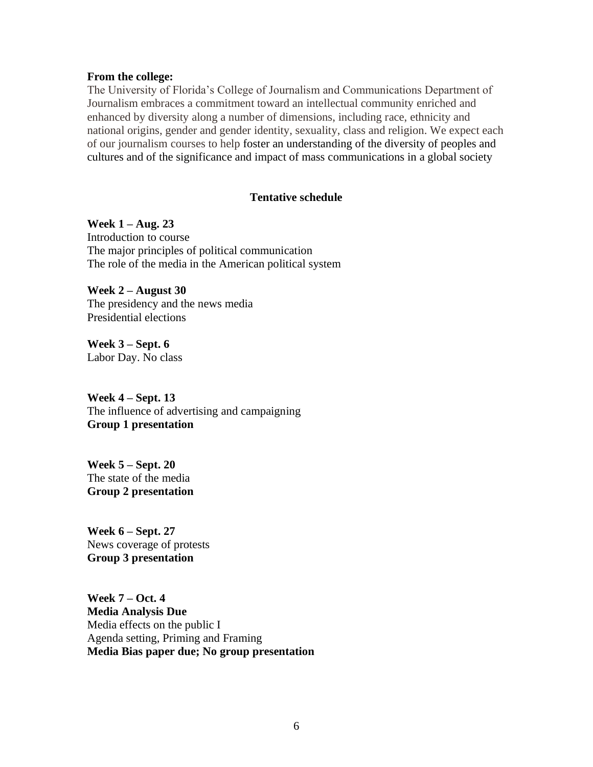#### **From the college:**

The University of Florida's College of Journalism and Communications Department of Journalism embraces a commitment toward an intellectual community enriched and enhanced by diversity along a number of dimensions, including race, ethnicity and national origins, gender and gender identity, sexuality, class and religion. We expect each of our journalism courses to help foster an understanding of the diversity of peoples and cultures and of the significance and impact of mass communications in a global society

### **Tentative schedule**

**Week 1 – Aug. 23** Introduction to course The major principles of political communication The role of the media in the American political system

**Week 2 – August 30** The presidency and the news media Presidential elections

**Week 3 – Sept. 6** Labor Day. No class

**Week 4 – Sept. 13** The influence of advertising and campaigning **Group 1 presentation**

**Week 5 – Sept. 20** The state of the media **Group 2 presentation**

**Week 6 – Sept. 27** News coverage of protests **Group 3 presentation**

**Week 7 – Oct. 4 Media Analysis Due** Media effects on the public I Agenda setting, Priming and Framing **Media Bias paper due; No group presentation**